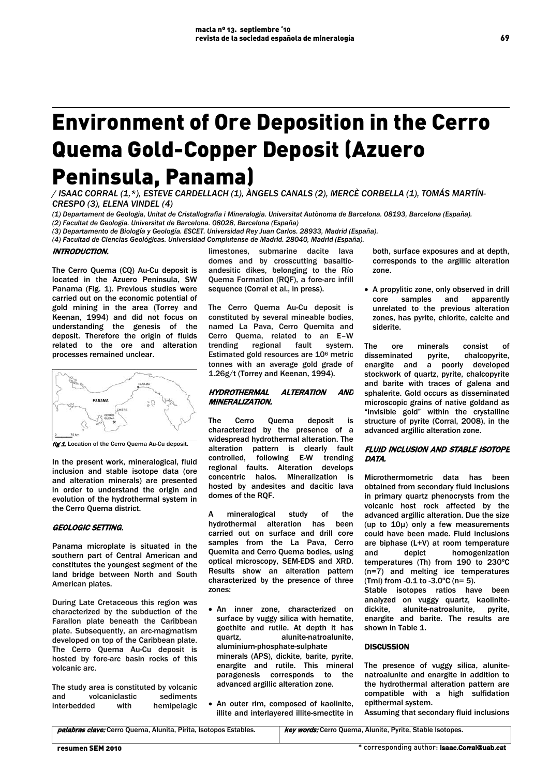# Environment of Ore Deposition in the Cerro Quema Gold-Copper Deposit (Azuero Peninsula, Panama)

*/ ISAAC CORRAL (1,\*), ESTEVE CARDELLACH (1), ÀNGELS CANALS (2), MERCÈ CORBELLA (1), TOMÁS MARTÍN-CRESPO (3), ELENA VINDEL (4)* 

 *(2) Facultat de Geologia. Universitat de Barcelona. 08028, Barcelona (España) (1) Departament de Geologia, Unitat de Cristallografia i Mineralogia. Universitat Autònoma de Barcelona. 08193, Barcelona (España).*

*(3) Departamento de Biología y Geología. ESCET. Universidad Rey Juan Carlos. 28933, Madrid (España).*

*(4) Facultad de Ciencias Geológicas. Universidad Complutense de Madrid. 28040, Madrid (España).*

## INTRODUCTION.

The Cerro Quema (CQ) Au-Cu deposit is located in the Azuero Peninsula, SW Panama (Fig. 1). Previous studies were carried out on the economic potential of gold mining in the area (Torrey and Keenan, 1994) and did not focus on understanding the genesis of the deposit. Therefore the origin of fluids related to the ore and alteration processes remained unclear.



fig 1. Location of the Cerro Quema Au-Cu deposit.

In the present work, mineralogical, fluid inclusion and stable isotope data (ore and alteration minerals) are presented in order to understand the origin and evolution of the hydrothermal system in the Cerro Quema district.

# GEOLOGIC SETTING.

Panama microplate is situated in the southern part of Central American and constitutes the youngest segment of the land bridge between North and South American plates.

During Late Cretaceous this region was characterized by the subduction of the Farallon plate beneath the Caribbean plate. Subsequently, an arc-magmatism developed on top of the Caribbean plate. The Cerro Quema Au-Cu deposit is hosted by fore-arc basin rocks of this volcanic arc.

The study area is constituted by volcanic and volcaniclastic sediments interbedded with hemipelagic limestones, submarine dacite lava domes and by crosscutting basalticandesitic dikes, belonging to the Río Quema Formation (RQF), a fore-arc infill sequence (Corral et al., in press).

The Cerro Quema Au-Cu deposit is constituted by several mineable bodies, named La Pava, Cerro Quemita and Cerro Quema, related to an E–W trending regional fault system. Estimated gold resources are 106 metric tonnes with an average gold grade of 1.26g/t (Torrey and Keenan, 1994).

## HYDROTHERMAL ALTERATION AND MINERALIZATION.

The Cerro Quema deposit is characterized by the presence of a widespread hydrothermal alteration. The alteration pattern is clearly fault controlled, following E-W trending regional faults. Alteration develops concentric halos. Mineralization is hosted by andesites and dacitic lava domes of the RQF.

A mineralogical study of the hydrothermal alteration has been carried out on surface and drill core samples from the La Pava, Cerro Quemita and Cerro Quema bodies, using optical microscopy, SEM-EDS and XRD. Results show an alteration pattern characterized by the presence of three zones:

- An inner zone, characterized on surface by vuggy silica with hematite, goethite and rutile. At depth it has quartz, alunite-natroalunite, aluminium-phosphate-sulphate minerals (APS), dickite, barite, pyrite, enargite and rutile. This mineral paragenesis corresponds to the advanced argillic alteration zone.
- An outer rim, composed of kaolinite, illite and interlayered illite-smectite in

both, surface exposures and at depth, corresponds to the argillic alteration zone.

• A propylitic zone, only observed in drill core samples and apparently unrelated to the previous alteration zones, has pyrite, chlorite, calcite and siderite.

The ore minerals consist of disseminated pyrite, chalcopyrite, enargite and a poorly developed stockwork of quartz, pyrite, chalcopyrite and barite with traces of galena and sphalerite. Gold occurs as disseminated microscopic grains of native goldand as "invisible gold" within the crystalline structure of pyrite (Corral, 2008), in the advanced argillic alteration zone.

# FLUID INCLUSION AND STABLE ISOTOPE DATA.

Microthermometric data has been obtained from secondary fluid inclusions in primary quartz phenocrysts from the volcanic host rock affected by the advanced argillic alteration. Due the size (up to 10µ) only a few measurements could have been made. Fluid inclusions are biphase (L+V) at room temperature and depict homogenization temperatures (Th) from 190 to 230ºC (n=7) and melting ice temperatures (Tmi) from -0.1 to -3.0ºC (n= 5).

Stable isotopes ratios have been analyzed on vuggy quartz, kaolinitedickite, alunite-natroalunite, pyrite, enargite and barite. The results are shown in Table 1.

#### **DISCUSSION**

The presence of vuggy silica, alunitenatroalunite and enargite in addition to the hydrothermal alteration pattern are compatible with a high sulfidation epithermal system.

Assuming that secondary fluid inclusions